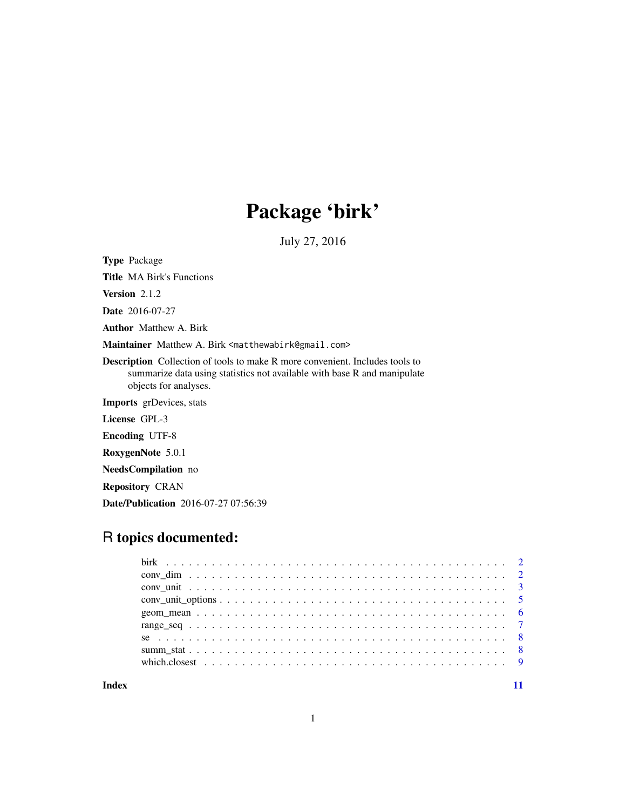# Package 'birk'

July 27, 2016

<span id="page-0-0"></span>Type Package

Title MA Birk's Functions

Version 2.1.2

Date 2016-07-27

Author Matthew A. Birk

Maintainer Matthew A. Birk <matthewabirk@gmail.com>

Description Collection of tools to make R more convenient. Includes tools to summarize data using statistics not available with base R and manipulate objects for analyses.

Imports grDevices, stats

License GPL-3

Encoding UTF-8

RoxygenNote 5.0.1

NeedsCompilation no

Repository CRAN

Date/Publication 2016-07-27 07:56:39

# R topics documented:

| which, closest $\ldots \ldots \ldots \ldots \ldots \ldots \ldots \ldots \ldots \ldots \ldots \ldots \ldots$ |  |
|-------------------------------------------------------------------------------------------------------------|--|
|                                                                                                             |  |

**Index** [11](#page-10-0)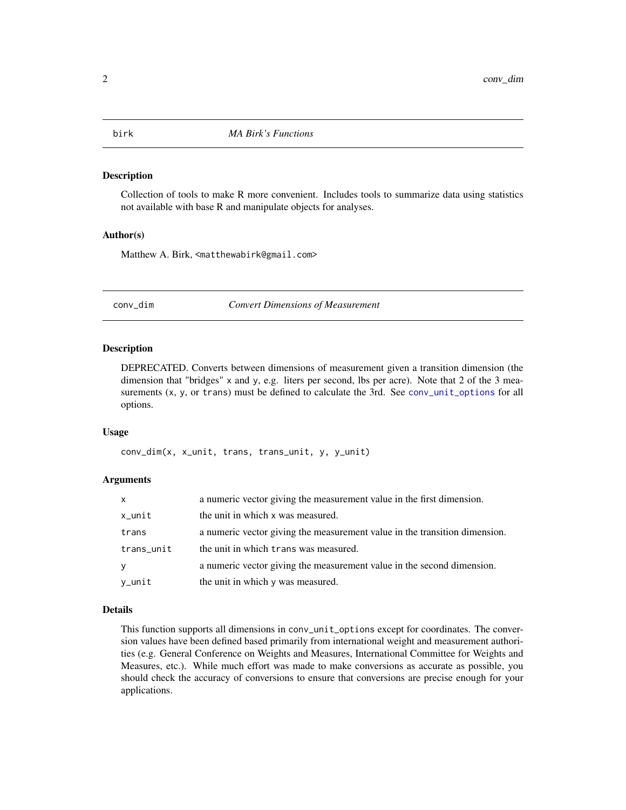<span id="page-1-0"></span>birk *MA Birk's Functions*

#### Description

Collection of tools to make R more convenient. Includes tools to summarize data using statistics not available with base R and manipulate objects for analyses.

#### Author(s)

Matthew A. Birk, <matthewabirk@gmail.com>

<span id="page-1-1"></span>conv\_dim *Convert Dimensions of Measurement*

# Description

DEPRECATED. Converts between dimensions of measurement given a transition dimension (the dimension that "bridges" x and y, e.g. liters per second, lbs per acre). Note that 2 of the 3 measurements  $(x, y,$  or trans) must be defined to calculate the 3rd. See [conv\\_unit\\_options](#page-4-1) for all options.

#### Usage

conv\_dim(x, x\_unit, trans, trans\_unit, y, y\_unit)

#### Arguments

| <b>X</b>   | a numeric vector giving the measurement value in the first dimension.      |
|------------|----------------------------------------------------------------------------|
| $x$ _unit  | the unit in which x was measured.                                          |
| trans      | a numeric vector giving the measurement value in the transition dimension. |
| trans_unit | the unit in which trans was measured.                                      |
| y          | a numeric vector giving the measurement value in the second dimension.     |
| y_unit     | the unit in which y was measured.                                          |

#### Details

This function supports all dimensions in conv\_unit\_options except for coordinates. The conversion values have been defined based primarily from international weight and measurement authorities (e.g. General Conference on Weights and Measures, International Committee for Weights and Measures, etc.). While much effort was made to make conversions as accurate as possible, you should check the accuracy of conversions to ensure that conversions are precise enough for your applications.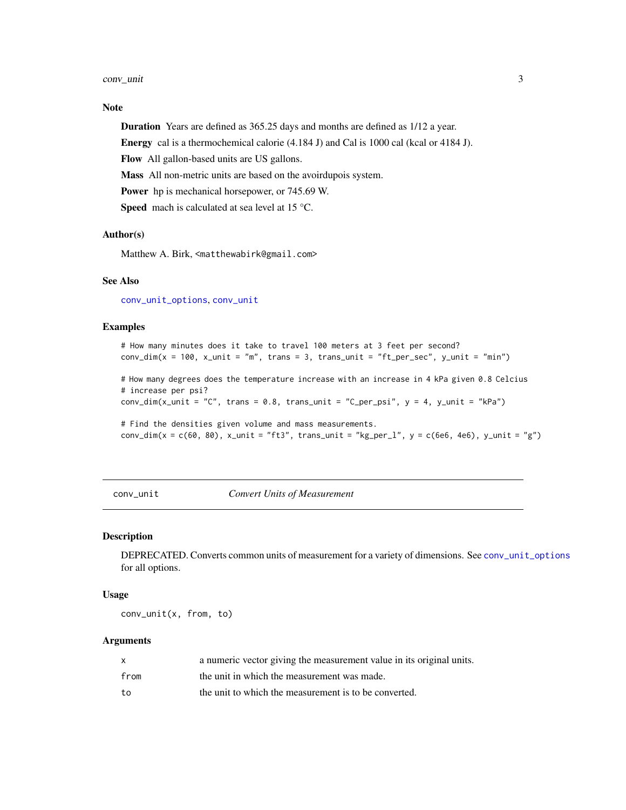#### <span id="page-2-0"></span>conv\_unit 3

# Note

Duration Years are defined as 365.25 days and months are defined as 1/12 a year.

Energy cal is a thermochemical calorie (4.184 J) and Cal is 1000 cal (kcal or 4184 J).

Flow All gallon-based units are US gallons.

Mass All non-metric units are based on the avoirdupois system.

Power hp is mechanical horsepower, or 745.69 W.

Speed mach is calculated at sea level at 15 °C.

#### Author(s)

Matthew A. Birk, <matthewabirk@gmail.com>

#### See Also

[conv\\_unit\\_options](#page-4-1), [conv\\_unit](#page-2-1)

#### Examples

```
# How many minutes does it take to travel 100 meters at 3 feet per second?
conv\_dim(x = 100, x\_unit = "m", trans = 3, trans\_unit = "ft\_per\_sec", y\_unit = "min")
```
# How many degrees does the temperature increase with an increase in 4 kPa given 0.8 Celcius # increase per psi?

conv\_dim(x\_unit = "C", trans =  $0.8$ , trans\_unit = "C\_per\_psi",  $y = 4$ ,  $y$ \_unit = "kPa")

# Find the densities given volume and mass measurements. conv\_dim(x = c(60, 80), x\_unit = "ft3", trans\_unit = "kg\_per\_l", y = c(6e6, 4e6), y\_unit = "g")

<span id="page-2-1"></span>conv\_unit *Convert Units of Measurement*

#### Description

DEPRECATED. Converts common units of measurement for a variety of dimensions. See [conv\\_unit\\_options](#page-4-1) for all options.

#### Usage

conv\_unit(x, from, to)

# Arguments

| X    | a numeric vector giving the measurement value in its original units. |
|------|----------------------------------------------------------------------|
| from | the unit in which the measurement was made.                          |
| to   | the unit to which the measurement is to be converted.                |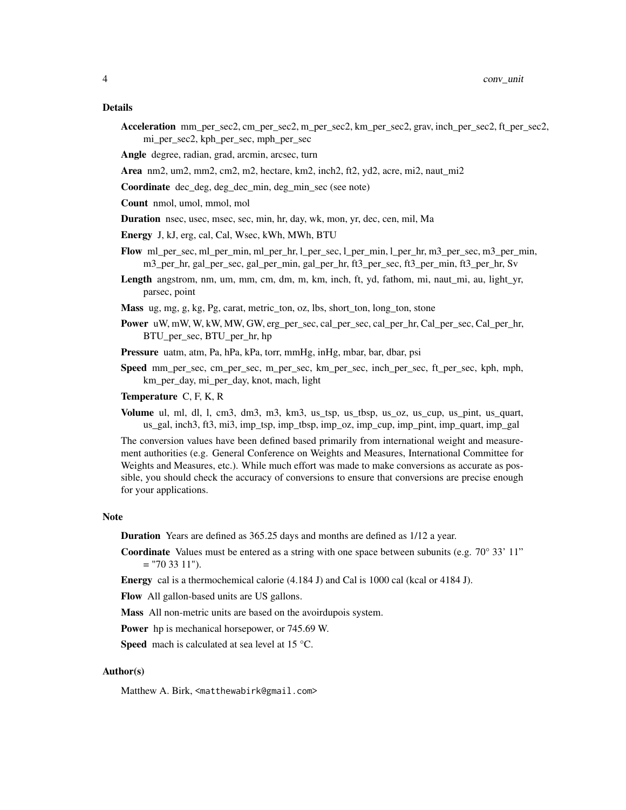- Acceleration mm\_per\_sec2, cm\_per\_sec2, m\_per\_sec2, km\_per\_sec2, grav, inch\_per\_sec2, ft\_per\_sec2, mi\_per\_sec2, kph\_per\_sec, mph\_per\_sec
- Angle degree, radian, grad, arcmin, arcsec, turn
- Area nm2, um2, mm2, cm2, m2, hectare, km2, inch2, ft2, yd2, acre, mi2, naut  $mi2$
- Coordinate dec\_deg, deg\_dec\_min, deg\_min\_sec (see note)
- Count nmol, umol, mmol, mol
- Duration nsec, usec, msec, sec, min, hr, day, wk, mon, yr, dec, cen, mil, Ma
- Energy J, kJ, erg, cal, Cal, Wsec, kWh, MWh, BTU
- Flow ml\_per\_sec, ml\_per\_min, ml\_per\_hr, l\_per\_sec, l\_per\_min, l\_per\_hr, m3\_per\_sec, m3\_per\_min, m3\_per\_hr, gal\_per\_sec, gal\_per\_min, gal\_per\_hr, ft3\_per\_sec, ft3\_per\_min, ft3\_per\_hr, Sv
- Length angstrom, nm, um, mm, cm, dm, m, km, inch, ft, yd, fathom, mi, naut\_mi, au, light\_yr, parsec, point
- Mass ug, mg, g, kg, Pg, carat, metric\_ton, oz, lbs, short\_ton, long\_ton, stone
- Power uW, mW, W, kW, MW, GW, erg\_per\_sec, cal\_per\_sec, cal\_per\_hr, Cal\_per\_sec, Cal\_per\_hr, BTU\_per\_sec, BTU\_per\_hr, hp
- Pressure uatm, atm, Pa, hPa, kPa, torr, mmHg, inHg, mbar, bar, dbar, psi
- Speed mm\_per\_sec, cm\_per\_sec, m\_per\_sec, km\_per\_sec, inch\_per\_sec, ft\_per\_sec, kph, mph, km\_per\_day, mi\_per\_day, knot, mach, light
- Temperature C, F, K, R
- Volume ul, ml, dl, l, cm3, dm3, m3, km3, us tsp, us tbsp, us  $oz$ , us cup, us pint, us quart, us\_gal, inch3, ft3, mi3, imp\_tsp, imp\_tbsp, imp\_oz, imp\_cup, imp\_pint, imp\_quart, imp\_gal

The conversion values have been defined based primarily from international weight and measurement authorities (e.g. General Conference on Weights and Measures, International Committee for Weights and Measures, etc.). While much effort was made to make conversions as accurate as possible, you should check the accuracy of conversions to ensure that conversions are precise enough for your applications.

#### Note

- Duration Years are defined as 365.25 days and months are defined as 1/12 a year.
- **Coordinate** Values must be entered as a string with one space between subunits (e.g.  $70^{\circ}$  33' 11"  $=$  "70 33 11").
- Energy cal is a thermochemical calorie (4.184 J) and Cal is 1000 cal (kcal or 4184 J).
- Flow All gallon-based units are US gallons.
- Mass All non-metric units are based on the avoirdupois system.
- Power hp is mechanical horsepower, or 745.69 W.
- **Speed** mach is calculated at sea level at 15  $^{\circ}$ C.

#### Author(s)

Matthew A. Birk, <matthewabirk@gmail.com>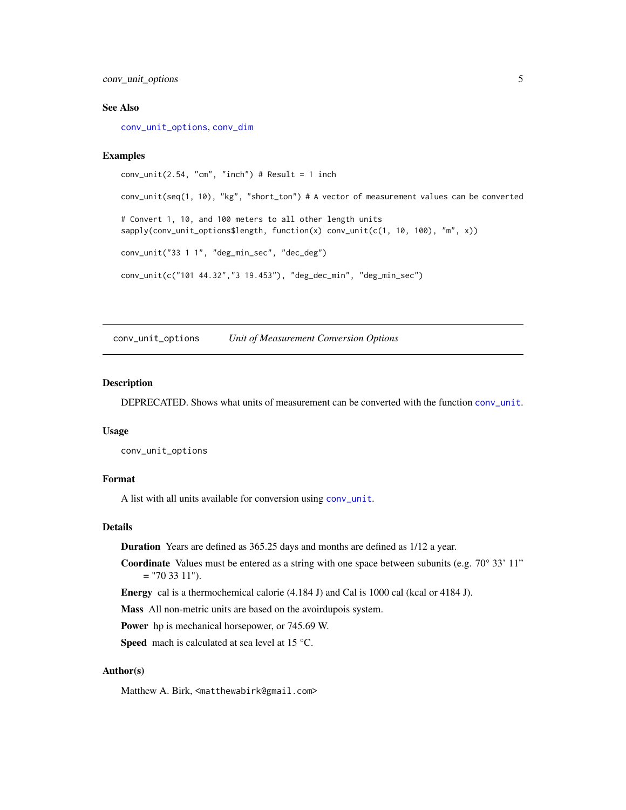<span id="page-4-0"></span>conv\_unit\_options 5

#### See Also

[conv\\_unit\\_options](#page-4-1), [conv\\_dim](#page-1-1)

#### Examples

```
conv\_unit(2.54, "cm", "inch") # Result = 1 inch
conv_unit(seq(1, 10), "kg", "short_ton") # A vector of measurement values can be converted
# Convert 1, 10, and 100 meters to all other length units
sapply(conv_unit_options$length, function(x) conv_unit(c(1, 10, 100), "m", x))
conv_unit("33 1 1", "deg_min_sec", "dec_deg")
conv_unit(c("101 44.32","3 19.453"), "deg_dec_min", "deg_min_sec")
```
<span id="page-4-1"></span>conv\_unit\_options *Unit of Measurement Conversion Options*

#### Description

DEPRECATED. Shows what units of measurement can be converted with the function [conv\\_unit](#page-2-1).

#### Usage

conv\_unit\_options

### Format

A list with all units available for conversion using [conv\\_unit](#page-2-1).

#### Details

Duration Years are defined as 365.25 days and months are defined as 1/12 a year.

**Coordinate** Values must be entered as a string with one space between subunits (e.g.  $70^{\circ}$  33' 11"  $=$  "70 33 11").

Energy cal is a thermochemical calorie (4.184 J) and Cal is 1000 cal (kcal or 4184 J).

Mass All non-metric units are based on the avoirdupois system.

Power hp is mechanical horsepower, or 745.69 W.

Speed mach is calculated at sea level at 15 °C.

#### Author(s)

Matthew A. Birk, <matthewabirk@gmail.com>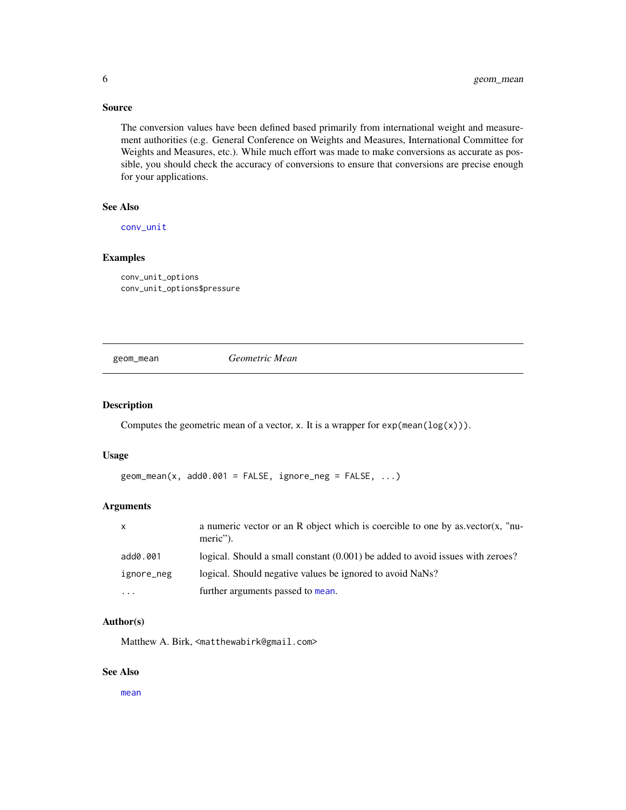# <span id="page-5-0"></span>Source

The conversion values have been defined based primarily from international weight and measurement authorities (e.g. General Conference on Weights and Measures, International Committee for Weights and Measures, etc.). While much effort was made to make conversions as accurate as possible, you should check the accuracy of conversions to ensure that conversions are precise enough for your applications.

#### See Also

[conv\\_unit](#page-2-1)

### Examples

conv\_unit\_options conv\_unit\_options\$pressure

geom\_mean *Geometric Mean*

#### Description

Computes the geometric mean of a vector, x. It is a wrapper for  $exp(\text{mean}(log(x)))$ .

#### Usage

```
geom_mean(x, add0.001 = FALSE, ignore_new = FALSE, ...)
```
# Arguments

| $\mathsf{x}$ | a numeric vector or an R object which is coercible to one by as vector(x, "nu-<br>meric"). |
|--------------|--------------------------------------------------------------------------------------------|
| add0.001     | logical. Should a small constant (0.001) be added to avoid issues with zeroes?             |
| ignore_neg   | logical. Should negative values be ignored to avoid NaNs?                                  |
| .            | further arguments passed to mean.                                                          |

#### Author(s)

Matthew A. Birk, <matthewabirk@gmail.com>

#### See Also

[mean](#page-0-0)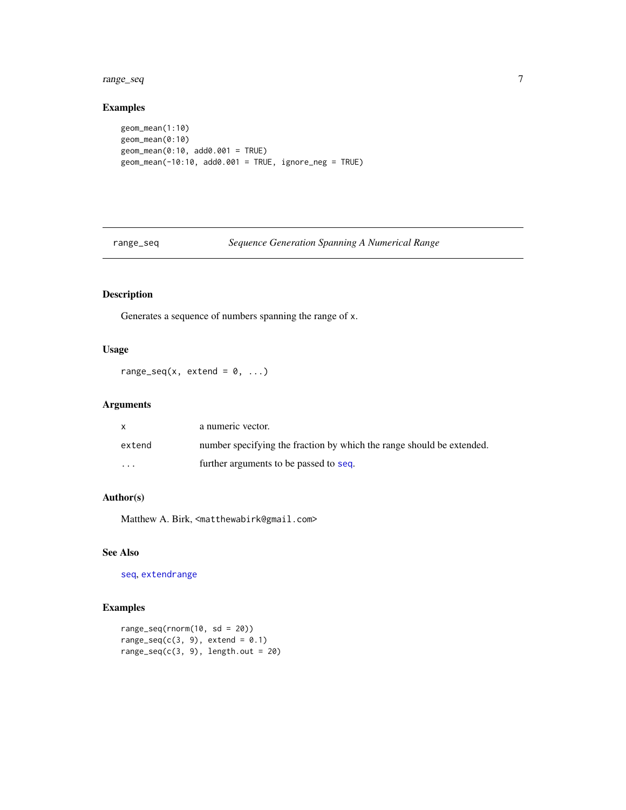#### <span id="page-6-0"></span>range\_seq 7

# Examples

```
geom_mean(1:10)
geom_mean(0:10)
geom_mean(0:10, add0.001 = TRUE)
geom_mean(-10:10, add0.001 = TRUE, ignore_neg = TRUE)
```
# range\_seq *Sequence Generation Spanning A Numerical Range*

# Description

Generates a sequence of numbers spanning the range of x.

# Usage

range\_seq(x, extend =  $0, ...$ )

# Arguments

|          | a numeric vector.                                                     |
|----------|-----------------------------------------------------------------------|
| extend   | number specifying the fraction by which the range should be extended. |
| $\cdots$ | further arguments to be passed to seq.                                |

# Author(s)

Matthew A. Birk, <matthewabirk@gmail.com>

#### See Also

[seq](#page-0-0), [extendrange](#page-0-0)

# Examples

```
range_seq(rnorm(10, sd = 20))
range_seq(c(3, 9), extend = 0.1)
range\_seq(c(3, 9), length.out = 20)
```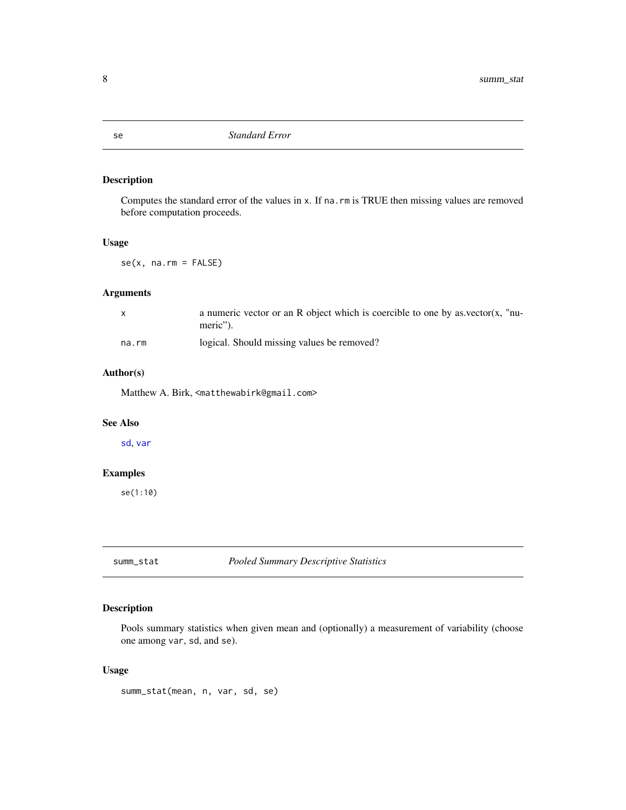# Description

Computes the standard error of the values in x. If na.rm is TRUE then missing values are removed before computation proceeds.

#### Usage

se(x, na.rm = FALSE)

#### Arguments

|       | a numeric vector or an R object which is coercible to one by as vector(x, "nu- |
|-------|--------------------------------------------------------------------------------|
|       | meric").                                                                       |
| na.rm | logical. Should missing values be removed?                                     |

#### Author(s)

Matthew A. Birk, <matthewabirk@gmail.com>

#### See Also

[sd](#page-0-0), [var](#page-0-0)

# Examples

se(1:10)

summ\_stat *Pooled Summary Descriptive Statistics*

# Description

Pools summary statistics when given mean and (optionally) a measurement of variability (choose one among var, sd, and se).

## Usage

summ\_stat(mean, n, var, sd, se)

<span id="page-7-1"></span><span id="page-7-0"></span>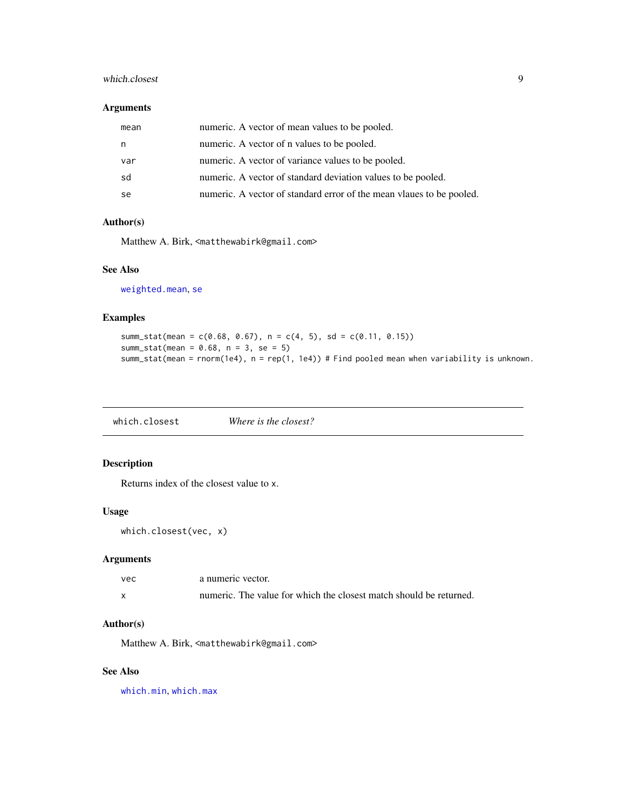# <span id="page-8-0"></span>which.closest 9

#### Arguments

| mean | numeric. A vector of mean values to be pooled.                       |
|------|----------------------------------------------------------------------|
| n    | numeric. A vector of n values to be pooled.                          |
| var  | numeric. A vector of variance values to be pooled.                   |
| sd   | numeric. A vector of standard deviation values to be pooled.         |
| se   | numeric. A vector of standard error of the mean vlaues to be pooled. |

# Author(s)

Matthew A. Birk, <matthewabirk@gmail.com>

#### See Also

[weighted.mean](#page-0-0), [se](#page-7-1)

#### Examples

```
summ_stat(mean = c(0.68, 0.67), n = c(4, 5), sd = c(0.11, 0.15))
summ_stat(mean = 0.68, n = 3, se = 5)
summ_stat(mean = rnorm(1e4), n = rep(1, 1e4)) # Find pooled mean when variability is unknown.
```
which.closest *Where is the closest?*

# Description

Returns index of the closest value to x.

#### Usage

```
which.closest(vec, x)
```
# Arguments

| vec | a numeric vector.                                                  |
|-----|--------------------------------------------------------------------|
|     | numeric. The value for which the closest match should be returned. |

#### Author(s)

Matthew A. Birk, <matthewabirk@gmail.com>

## See Also

[which.min](#page-0-0), [which.max](#page-0-0)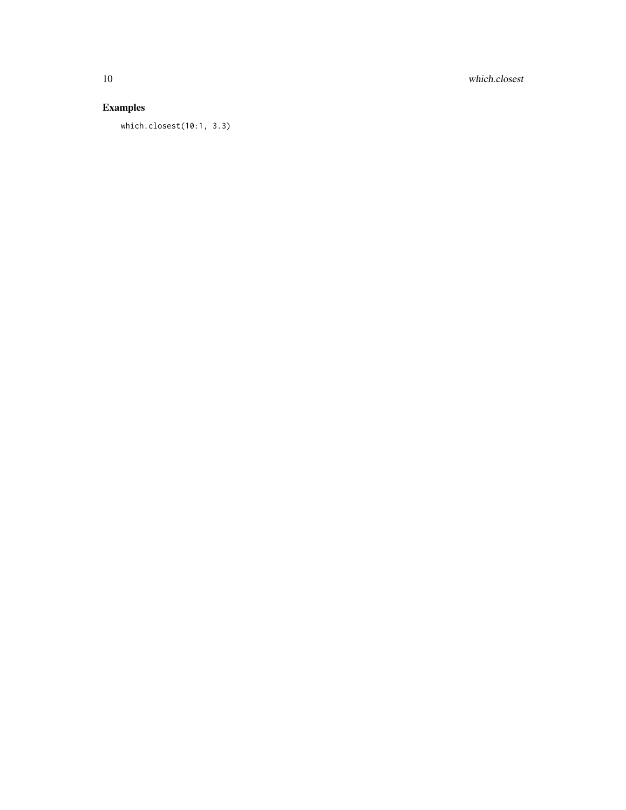10 which.closest

# Examples

which.closest(10:1, 3.3)